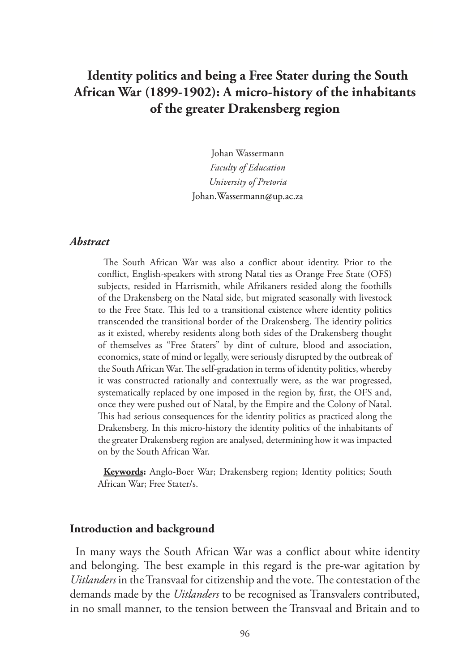# **Identity politics and being a Free Stater during the South African War (1899-1902): A micro-history of the inhabitants of the greater Drakensberg region**

Johan Wassermann *Faculty of Education University of Pretoria* Johan.Wassermann@up.ac.za

### *Abstract*

The South African War was also a conflict about identity. Prior to the conflict, English-speakers with strong Natal ties as Orange Free State (OFS) subjects, resided in Harrismith, while Afrikaners resided along the foothills of the Drakensberg on the Natal side, but migrated seasonally with livestock to the Free State. This led to a transitional existence where identity politics transcended the transitional border of the Drakensberg. The identity politics as it existed, whereby residents along both sides of the Drakensberg thought of themselves as "Free Staters" by dint of culture, blood and association, economics, state of mind or legally, were seriously disrupted by the outbreak of the South African War. The self-gradation in terms of identity politics, whereby it was constructed rationally and contextually were, as the war progressed, systematically replaced by one imposed in the region by, first, the OFS and, once they were pushed out of Natal, by the Empire and the Colony of Natal. This had serious consequences for the identity politics as practiced along the Drakensberg. In this micro-history the identity politics of the inhabitants of the greater Drakensberg region are analysed, determining how it was impacted on by the South African War.

**Keywords:** Anglo-Boer War; Drakensberg region; Identity politics; South African War; Free Stater/s.

#### **Introduction and background**

In many ways the South African War was a conflict about white identity and belonging. The best example in this regard is the pre-war agitation by *Uitlanders* in the Transvaal for citizenship and the vote. The contestation of the demands made by the *Uitlanders* to be recognised as Transvalers contributed, in no small manner, to the tension between the Transvaal and Britain and to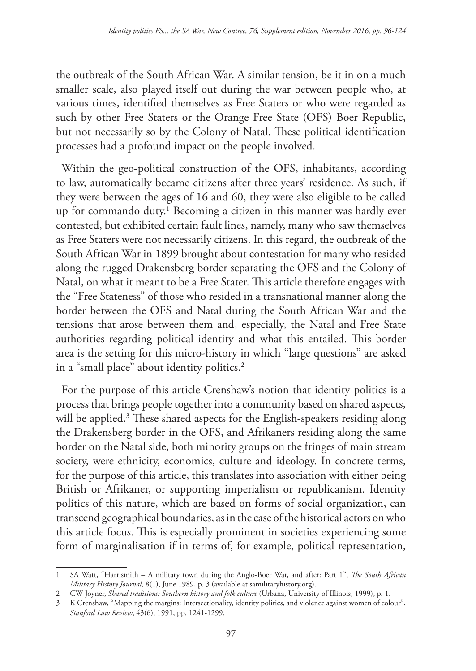the outbreak of the South African War. A similar tension, be it in on a much smaller scale, also played itself out during the war between people who, at various times, identified themselves as Free Staters or who were regarded as such by other Free Staters or the Orange Free State (OFS) Boer Republic, but not necessarily so by the Colony of Natal. These political identification processes had a profound impact on the people involved.

Within the geo-political construction of the OFS, inhabitants, according to law, automatically became citizens after three years' residence. As such, if they were between the ages of 16 and 60, they were also eligible to be called up for commando duty.<sup>1</sup> Becoming a citizen in this manner was hardly ever contested, but exhibited certain fault lines, namely, many who saw themselves as Free Staters were not necessarily citizens. In this regard, the outbreak of the South African War in 1899 brought about contestation for many who resided along the rugged Drakensberg border separating the OFS and the Colony of Natal, on what it meant to be a Free Stater. This article therefore engages with the "Free Stateness" of those who resided in a transnational manner along the border between the OFS and Natal during the South African War and the tensions that arose between them and, especially, the Natal and Free State authorities regarding political identity and what this entailed. This border area is the setting for this micro-history in which "large questions" are asked in a "small place" about identity politics.<sup>2</sup>

For the purpose of this article Crenshaw's notion that identity politics is a process that brings people together into a community based on shared aspects, will be applied.<sup>3</sup> These shared aspects for the English-speakers residing along the Drakensberg border in the OFS, and Afrikaners residing along the same border on the Natal side, both minority groups on the fringes of main stream society, were ethnicity, economics, culture and ideology. In concrete terms, for the purpose of this article, this translates into association with either being British or Afrikaner, or supporting imperialism or republicanism. Identity politics of this nature, which are based on forms of social organization, can transcend geographical boundaries, as in the case of the historical actors on who this article focus. This is especially prominent in societies experiencing some form of marginalisation if in terms of, for example, political representation,

<sup>1</sup> SA Watt, "Harrismith – A military town during the Anglo-Boer War, and after: Part 1", *The South African Military History Journal*, 8(1), June 1989, p. 3 (available at samilitaryhistory.org).

<sup>2</sup> CW Joyner, *Shared traditions: Southern history and folk culture* (Urbana, University of Illinois, 1999), p. 1.

<sup>3</sup> K Crenshaw, "Mapping the margins: Intersectionality, identity politics, and violence against women of colour", *Stanford Law Review*, 43(6), 1991, pp. 1241-1299.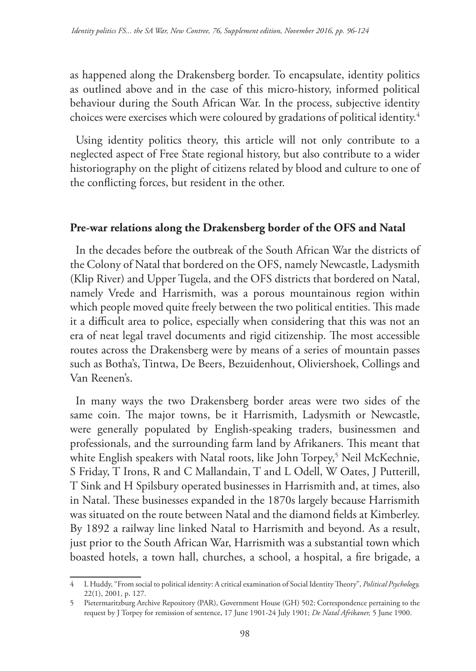as happened along the Drakensberg border. To encapsulate, identity politics as outlined above and in the case of this micro-history, informed political behaviour during the South African War. In the process, subjective identity choices were exercises which were coloured by gradations of political identity.4

Using identity politics theory, this article will not only contribute to a neglected aspect of Free State regional history, but also contribute to a wider historiography on the plight of citizens related by blood and culture to one of the conflicting forces, but resident in the other.

# **Pre-war relations along the Drakensberg border of the OFS and Natal**

In the decades before the outbreak of the South African War the districts of the Colony of Natal that bordered on the OFS, namely Newcastle, Ladysmith (Klip River) and Upper Tugela, and the OFS districts that bordered on Natal, namely Vrede and Harrismith, was a porous mountainous region within which people moved quite freely between the two political entities. This made it a difficult area to police, especially when considering that this was not an era of neat legal travel documents and rigid citizenship. The most accessible routes across the Drakensberg were by means of a series of mountain passes such as Botha's, Tintwa, De Beers, Bezuidenhout, Oliviershoek, Collings and Van Reenen's.

In many ways the two Drakensberg border areas were two sides of the same coin. The major towns, be it Harrismith, Ladysmith or Newcastle, were generally populated by English-speaking traders, businessmen and professionals, and the surrounding farm land by Afrikaners. This meant that white English speakers with Natal roots, like John Torpey,<sup>5</sup> Neil McKechnie, S Friday, T Irons, R and C Mallandain, T and L Odell, W Oates, J Putterill, T Sink and H Spilsbury operated businesses in Harrismith and, at times, also in Natal. These businesses expanded in the 1870s largely because Harrismith was situated on the route between Natal and the diamond fields at Kimberley. By 1892 a railway line linked Natal to Harrismith and beyond. As a result, just prior to the South African War, Harrismith was a substantial town which boasted hotels, a town hall, churches, a school, a hospital, a fire brigade, a

<sup>4</sup> L Huddy, "From social to political identity: A critical examination of Social Identity Theory", *Political Psychology,*  22(1), 2001, p. 127.

<sup>5</sup> Pietermaritzburg Archive Repository (PAR), Government House (GH) 502: Correspondence pertaining to the request by J Torpey for remission of sentence, 17 June 1901-24 July 1901; *De Natal Afrikaner,* 5 June 1900.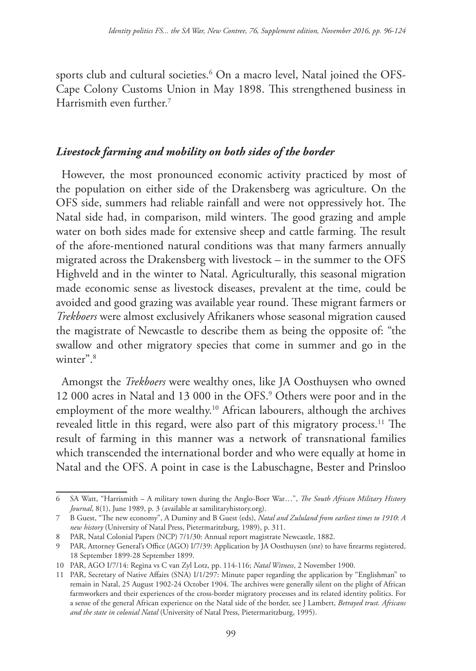sports club and cultural societies.6 On a macro level, Natal joined the OFS-Cape Colony Customs Union in May 1898. This strengthened business in Harrismith even further.<sup>7</sup>

# *Livestock farming and mobility on both sides of the border*

However, the most pronounced economic activity practiced by most of the population on either side of the Drakensberg was agriculture. On the OFS side, summers had reliable rainfall and were not oppressively hot. The Natal side had, in comparison, mild winters. The good grazing and ample water on both sides made for extensive sheep and cattle farming. The result of the afore-mentioned natural conditions was that many farmers annually migrated across the Drakensberg with livestock – in the summer to the OFS Highveld and in the winter to Natal. Agriculturally, this seasonal migration made economic sense as livestock diseases, prevalent at the time, could be avoided and good grazing was available year round. These migrant farmers or *Trekboers* were almost exclusively Afrikaners whose seasonal migration caused the magistrate of Newcastle to describe them as being the opposite of: "the swallow and other migratory species that come in summer and go in the winter".<sup>8</sup>

Amongst the *Trekboers* were wealthy ones, like JA Oosthuysen who owned 12 000 acres in Natal and 13 000 in the OFS.9 Others were poor and in the employment of the more wealthy.<sup>10</sup> African labourers, although the archives revealed little in this regard, were also part of this migratory process.<sup>11</sup> The result of farming in this manner was a network of transnational families which transcended the international border and who were equally at home in Natal and the OFS. A point in case is the Labuschagne, Bester and Prinsloo

<sup>6</sup> SA Watt, "Harrismith – A military town during the Anglo-Boer War…", *The South African Military History Journal*, 8(1), June 1989, p. 3 (available at samilitaryhistory.org).

<sup>7</sup> B Guest, "The new economy", A Duminy and B Guest (eds), *Natal and Zululand from earliest times to 1910*: *A new history* (University of Natal Press, Pietermaritzburg, 1989), p. 311.

<sup>8</sup> PAR, Natal Colonial Papers (NCP) 7/1/30: Annual report magistrate Newcastle, 1882.

<sup>9</sup> PAR, Attorney General's Office (AGO) I/7/39: Application by JA Oosthuysen (snr) to have firearms registered, 18 September 1899-28 September 1899.

<sup>10</sup> PAR, AGO I/7/14: Regina vs C van Zyl Lotz, pp. 114-116; *Natal Witness*, 2 November 1900.

<sup>11</sup> PAR, Secretary of Native Affairs (SNA) I/1/297: Minute paper regarding the application by "Englishman" to remain in Natal, 25 August 1902-24 October 1904. The archives were generally silent on the plight of African farmworkers and their experiences of the cross-border migratory processes and its related identity politics. For a sense of the general African experience on the Natal side of the border, see J Lambert, *Betrayed trust. Africans and the state in colonial Natal* (University of Natal Press, Pietermaritzburg, 1995).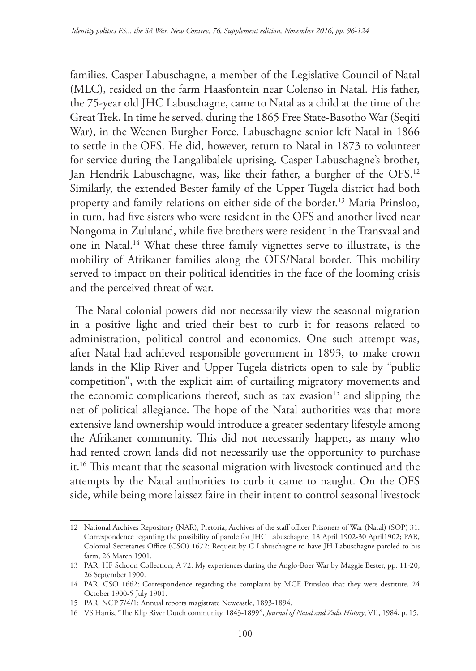families. Casper Labuschagne, a member of the Legislative Council of Natal (MLC), resided on the farm Haasfontein near Colenso in Natal. His father, the 75-year old JHC Labuschagne, came to Natal as a child at the time of the Great Trek. In time he served, during the 1865 Free State-Basotho War (Seqiti War), in the Weenen Burgher Force. Labuschagne senior left Natal in 1866 to settle in the OFS. He did, however, return to Natal in 1873 to volunteer for service during the Langalibalele uprising. Casper Labuschagne's brother, Jan Hendrik Labuschagne, was, like their father, a burgher of the OFS.<sup>12</sup> Similarly, the extended Bester family of the Upper Tugela district had both property and family relations on either side of the border.13 Maria Prinsloo, in turn, had five sisters who were resident in the OFS and another lived near Nongoma in Zululand, while five brothers were resident in the Transvaal and one in Natal.14 What these three family vignettes serve to illustrate, is the mobility of Afrikaner families along the OFS/Natal border. This mobility served to impact on their political identities in the face of the looming crisis and the perceived threat of war.

The Natal colonial powers did not necessarily view the seasonal migration in a positive light and tried their best to curb it for reasons related to administration, political control and economics. One such attempt was, after Natal had achieved responsible government in 1893, to make crown lands in the Klip River and Upper Tugela districts open to sale by "public competition", with the explicit aim of curtailing migratory movements and the economic complications thereof, such as tax evasion<sup>15</sup> and slipping the net of political allegiance. The hope of the Natal authorities was that more extensive land ownership would introduce a greater sedentary lifestyle among the Afrikaner community. This did not necessarily happen, as many who had rented crown lands did not necessarily use the opportunity to purchase it.16 This meant that the seasonal migration with livestock continued and the attempts by the Natal authorities to curb it came to naught. On the OFS side, while being more laissez faire in their intent to control seasonal livestock

<sup>12</sup> National Archives Repository (NAR), Pretoria, Archives of the staff officer Prisoners of War (Natal) (SOP) 31: Correspondence regarding the possibility of parole for JHC Labuschagne, 18 April 1902-30 April1902; PAR, Colonial Secretaries Office (CSO) 1672: Request by C Labuschagne to have JH Labuschagne paroled to his farm, 26 March 1901.

<sup>13</sup> PAR, HF Schoon Collection, A 72: My experiences during the Anglo-Boer War by Maggie Bester, pp. 11-20, 26 September 1900.

<sup>14</sup> PAR, CSO 1662: Correspondence regarding the complaint by MCE Prinsloo that they were destitute, 24 October 1900-5 July 1901.

<sup>15</sup> PAR, NCP 7/4/1: Annual reports magistrate Newcastle, 1893-1894.

<sup>16</sup> VS Harris, "The Klip River Dutch community, 1843-1899", *Journal of Natal and Zulu History*, VII, 1984, p. 15.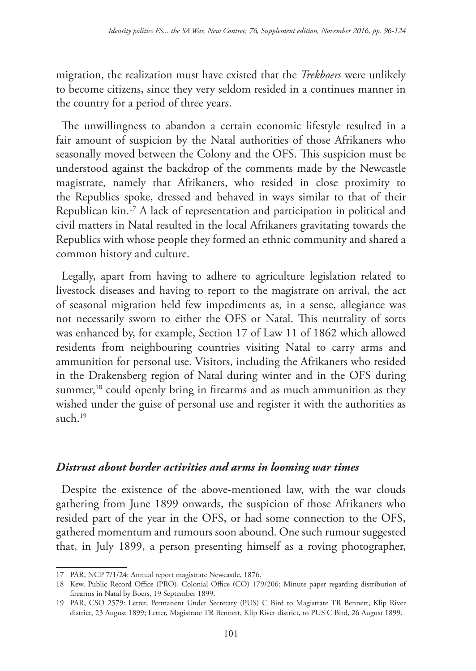migration, the realization must have existed that the *Trekboers* were unlikely to become citizens, since they very seldom resided in a continues manner in the country for a period of three years.

The unwillingness to abandon a certain economic lifestyle resulted in a fair amount of suspicion by the Natal authorities of those Afrikaners who seasonally moved between the Colony and the OFS. This suspicion must be understood against the backdrop of the comments made by the Newcastle magistrate, namely that Afrikaners, who resided in close proximity to the Republics spoke, dressed and behaved in ways similar to that of their Republican kin.17 A lack of representation and participation in political and civil matters in Natal resulted in the local Afrikaners gravitating towards the Republics with whose people they formed an ethnic community and shared a common history and culture.

Legally, apart from having to adhere to agriculture legislation related to livestock diseases and having to report to the magistrate on arrival, the act of seasonal migration held few impediments as, in a sense, allegiance was not necessarily sworn to either the OFS or Natal. This neutrality of sorts was enhanced by, for example, Section 17 of Law 11 of 1862 which allowed residents from neighbouring countries visiting Natal to carry arms and ammunition for personal use. Visitors, including the Afrikaners who resided in the Drakensberg region of Natal during winter and in the OFS during summer,<sup>18</sup> could openly bring in firearms and as much ammunition as they wished under the guise of personal use and register it with the authorities as  $such.$ <sup>19</sup>

### *Distrust about border activities and arms in looming war times*

Despite the existence of the above-mentioned law, with the war clouds gathering from June 1899 onwards, the suspicion of those Afrikaners who resided part of the year in the OFS, or had some connection to the OFS, gathered momentum and rumours soon abound. One such rumour suggested that, in July 1899, a person presenting himself as a roving photographer,

<sup>17</sup> PAR, NCP 7/1/24: Annual report magistrate Newcastle, 1876.

<sup>18</sup> Kew, Public Record Office (PRO), Colonial Office (CO) 179/206: Minute paper regarding distribution of firearms in Natal by Boers, 19 September 1899.

<sup>19</sup> PAR, CSO 2579: Letter, Permanent Under Secretary (PUS) C Bird to Magistrate TR Bennett, Klip River district, 23 August 1899; Letter, Magistrate TR Bennett, Klip River district, to PUS C Bird, 26 August 1899.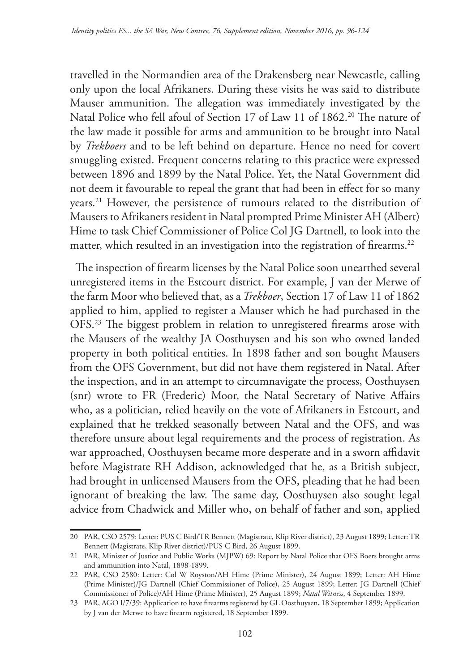travelled in the Normandien area of the Drakensberg near Newcastle, calling only upon the local Afrikaners. During these visits he was said to distribute Mauser ammunition. The allegation was immediately investigated by the Natal Police who fell afoul of Section 17 of Law 11 of 1862.<sup>20</sup> The nature of the law made it possible for arms and ammunition to be brought into Natal by *Trekboers* and to be left behind on departure. Hence no need for covert smuggling existed. Frequent concerns relating to this practice were expressed between 1896 and 1899 by the Natal Police. Yet, the Natal Government did not deem it favourable to repeal the grant that had been in effect for so many years.21 However, the persistence of rumours related to the distribution of Mausers to Afrikaners resident in Natal prompted Prime Minister AH (Albert) Hime to task Chief Commissioner of Police Col JG Dartnell, to look into the matter, which resulted in an investigation into the registration of firearms.<sup>22</sup>

The inspection of firearm licenses by the Natal Police soon unearthed several unregistered items in the Estcourt district. For example, J van der Merwe of the farm Moor who believed that, as a *Trekboer*, Section 17 of Law 11 of 1862 applied to him, applied to register a Mauser which he had purchased in the OFS.23 The biggest problem in relation to unregistered firearms arose with the Mausers of the wealthy JA Oosthuysen and his son who owned landed property in both political entities. In 1898 father and son bought Mausers from the OFS Government, but did not have them registered in Natal. After the inspection, and in an attempt to circumnavigate the process, Oosthuysen (snr) wrote to FR (Frederic) Moor, the Natal Secretary of Native Affairs who, as a politician, relied heavily on the vote of Afrikaners in Estcourt, and explained that he trekked seasonally between Natal and the OFS, and was therefore unsure about legal requirements and the process of registration. As war approached, Oosthuysen became more desperate and in a sworn affidavit before Magistrate RH Addison, acknowledged that he, as a British subject, had brought in unlicensed Mausers from the OFS, pleading that he had been ignorant of breaking the law. The same day, Oosthuysen also sought legal advice from Chadwick and Miller who, on behalf of father and son, applied

<sup>20</sup> PAR, CSO 2579: Letter: PUS C Bird/TR Bennett (Magistrate, Klip River district), 23 August 1899; Letter: TR Bennett (Magistrate, Klip River district)/PUS C Bird, 26 August 1899.

<sup>21</sup> PAR, Minister of Justice and Public Works (MJPW) 69: Report by Natal Police that OFS Boers brought arms and ammunition into Natal, 1898-1899.

<sup>22</sup> PAR, CSO 2580: Letter: Col W Royston/AH Hime (Prime Minister), 24 August 1899; Letter: AH Hime (Prime Minister)/JG Dartnell (Chief Commissioner of Police), 25 August 1899; Letter: JG Dartnell (Chief Commissioner of Police)/AH Hime (Prime Minister), 25 August 1899; *Natal Witness*, 4 September 1899.

<sup>23</sup> PAR, AGO I/7/39: Application to have firearms registered by GL Oosthuysen, 18 September 1899; Application by J van der Merwe to have firearm registered, 18 September 1899.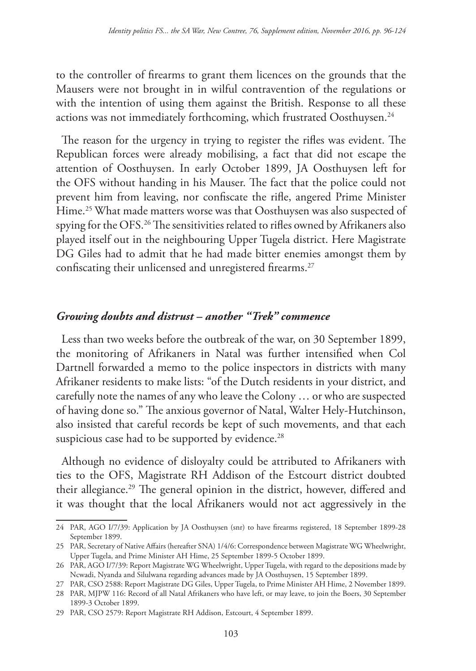to the controller of firearms to grant them licences on the grounds that the Mausers were not brought in in wilful contravention of the regulations or with the intention of using them against the British. Response to all these actions was not immediately forthcoming, which frustrated Oosthuysen.<sup>24</sup>

The reason for the urgency in trying to register the rifles was evident. The Republican forces were already mobilising, a fact that did not escape the attention of Oosthuysen. In early October 1899, JA Oosthuysen left for the OFS without handing in his Mauser. The fact that the police could not prevent him from leaving, nor confiscate the rifle, angered Prime Minister Hime.<sup>25</sup> What made matters worse was that Oosthuysen was also suspected of spying for the OFS.26 The sensitivities related to rifles owned by Afrikaners also played itself out in the neighbouring Upper Tugela district. Here Magistrate DG Giles had to admit that he had made bitter enemies amongst them by confiscating their unlicensed and unregistered firearms.27

### *Growing doubts and distrust – another "Trek" commence*

Less than two weeks before the outbreak of the war, on 30 September 1899, the monitoring of Afrikaners in Natal was further intensified when Col Dartnell forwarded a memo to the police inspectors in districts with many Afrikaner residents to make lists: "of the Dutch residents in your district, and carefully note the names of any who leave the Colony … or who are suspected of having done so." The anxious governor of Natal, Walter Hely-Hutchinson, also insisted that careful records be kept of such movements, and that each suspicious case had to be supported by evidence.<sup>28</sup>

Although no evidence of disloyalty could be attributed to Afrikaners with ties to the OFS, Magistrate RH Addison of the Estcourt district doubted their allegiance.29 The general opinion in the district, however, differed and it was thought that the local Afrikaners would not act aggressively in the

<sup>24</sup> PAR, AGO I/7/39: Application by JA Oosthuysen (snr) to have firearms registered, 18 September 1899-28 September 1899.

<sup>25</sup> PAR, Secretary of Native Affairs (hereafter SNA) 1/4/6: Correspondence between Magistrate WG Wheelwright, Upper Tugela, and Prime Minister AH Hime, 25 September 1899-5 October 1899.

<sup>26</sup> PAR, AGO I/7/39: Report Magistrate WG Wheelwright, Upper Tugela, with regard to the depositions made by Ncwadi, Nyanda and Silulwana regarding advances made by JA Oosthuysen, 15 September 1899.

<sup>27</sup> PAR, CSO 2588: Report Magistrate DG Giles, Upper Tugela, to Prime Minister AH Hime, 2 November 1899.

<sup>28</sup> PAR, MJPW 116: Record of all Natal Afrikaners who have left, or may leave, to join the Boers, 30 September 1899-3 October 1899.

<sup>29</sup> PAR, CSO 2579: Report Magistrate RH Addison, Estcourt, 4 September 1899.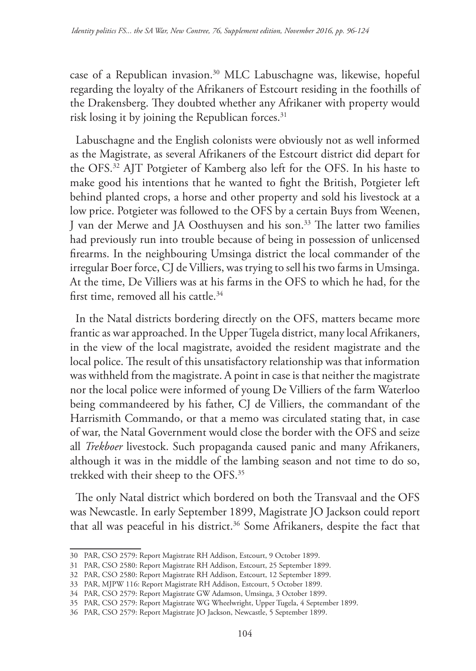case of a Republican invasion.30 MLC Labuschagne was, likewise, hopeful regarding the loyalty of the Afrikaners of Estcourt residing in the foothills of the Drakensberg. They doubted whether any Afrikaner with property would risk losing it by joining the Republican forces.<sup>31</sup>

Labuschagne and the English colonists were obviously not as well informed as the Magistrate, as several Afrikaners of the Estcourt district did depart for the OFS.32 AJT Potgieter of Kamberg also left for the OFS. In his haste to make good his intentions that he wanted to fight the British, Potgieter left behind planted crops, a horse and other property and sold his livestock at a low price. Potgieter was followed to the OFS by a certain Buys from Weenen, J van der Merwe and JA Oosthuysen and his son.33 The latter two families had previously run into trouble because of being in possession of unlicensed firearms. In the neighbouring Umsinga district the local commander of the irregular Boer force, CJ de Villiers, was trying to sell his two farms in Umsinga. At the time, De Villiers was at his farms in the OFS to which he had, for the first time, removed all his cattle.34

In the Natal districts bordering directly on the OFS, matters became more frantic as war approached. In the Upper Tugela district, many local Afrikaners, in the view of the local magistrate, avoided the resident magistrate and the local police. The result of this unsatisfactory relationship was that information was withheld from the magistrate. A point in case is that neither the magistrate nor the local police were informed of young De Villiers of the farm Waterloo being commandeered by his father, CJ de Villiers, the commandant of the Harrismith Commando, or that a memo was circulated stating that, in case of war, the Natal Government would close the border with the OFS and seize all *Trekboer* livestock. Such propaganda caused panic and many Afrikaners, although it was in the middle of the lambing season and not time to do so, trekked with their sheep to the OFS.35

The only Natal district which bordered on both the Transvaal and the OFS was Newcastle. In early September 1899, Magistrate JO Jackson could report that all was peaceful in his district.<sup>36</sup> Some Afrikaners, despite the fact that

<sup>30</sup> PAR, CSO 2579: Report Magistrate RH Addison, Estcourt, 9 October 1899.

<sup>31</sup> PAR, CSO 2580: Report Magistrate RH Addison, Estcourt, 25 September 1899.

<sup>32</sup> PAR, CSO 2580: Report Magistrate RH Addison, Estcourt, 12 September 1899.

<sup>33</sup> PAR, MJPW 116: Report Magistrate RH Addison, Estcourt, 5 October 1899.

<sup>34</sup> PAR, CSO 2579: Report Magistrate GW Adamson, Umsinga, 3 October 1899.

<sup>35</sup> PAR, CSO 2579: Report Magistrate WG Wheelwright, Upper Tugela, 4 September 1899.

<sup>36</sup> PAR, CSO 2579: Report Magistrate JO Jackson, Newcastle, 5 September 1899.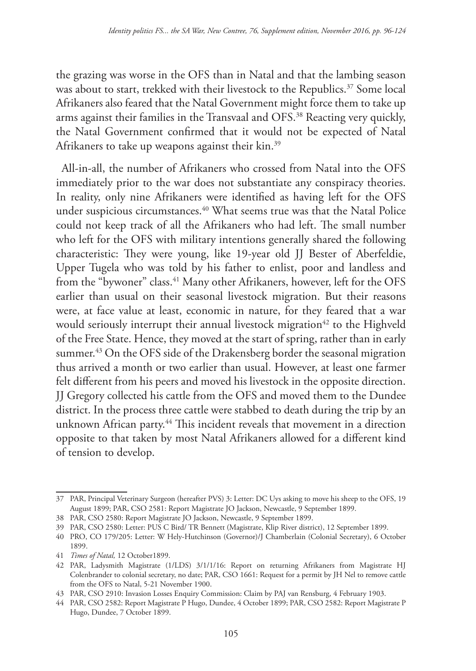the grazing was worse in the OFS than in Natal and that the lambing season was about to start, trekked with their livestock to the Republics.<sup>37</sup> Some local Afrikaners also feared that the Natal Government might force them to take up arms against their families in the Transvaal and OFS.38 Reacting very quickly, the Natal Government confirmed that it would not be expected of Natal Afrikaners to take up weapons against their kin.<sup>39</sup>

All-in-all, the number of Afrikaners who crossed from Natal into the OFS immediately prior to the war does not substantiate any conspiracy theories. In reality, only nine Afrikaners were identified as having left for the OFS under suspicious circumstances.<sup>40</sup> What seems true was that the Natal Police could not keep track of all the Afrikaners who had left. The small number who left for the OFS with military intentions generally shared the following characteristic: They were young, like 19-year old JJ Bester of Aberfeldie, Upper Tugela who was told by his father to enlist, poor and landless and from the "bywoner" class.<sup>41</sup> Many other Afrikaners, however, left for the OFS earlier than usual on their seasonal livestock migration. But their reasons were, at face value at least, economic in nature, for they feared that a war would seriously interrupt their annual livestock migration<sup>42</sup> to the Highveld of the Free State. Hence, they moved at the start of spring, rather than in early summer.<sup>43</sup> On the OFS side of the Drakensberg border the seasonal migration thus arrived a month or two earlier than usual. However, at least one farmer felt different from his peers and moved his livestock in the opposite direction. JJ Gregory collected his cattle from the OFS and moved them to the Dundee district. In the process three cattle were stabbed to death during the trip by an unknown African party.<sup>44</sup> This incident reveals that movement in a direction opposite to that taken by most Natal Afrikaners allowed for a different kind of tension to develop.

<sup>37</sup> PAR, Principal Veterinary Surgeon (hereafter PVS) 3: Letter: DC Uys asking to move his sheep to the OFS, 19 August 1899; PAR, CSO 2581: Report Magistrate JO Jackson, Newcastle, 9 September 1899.

<sup>38</sup> PAR, CSO 2580: Report Magistrate JO Jackson, Newcastle, 9 September 1899.

<sup>39</sup> PAR, CSO 2580: Letter: PUS C Bird/ TR Bennett (Magistrate, Klip River district), 12 September 1899.

<sup>40</sup> PRO, CO 179/205: Letter: W Hely-Hutchinson (Governor)/J Chamberlain (Colonial Secretary), 6 October 1899.

<sup>41</sup> *Times of Natal,* 12 October1899.

<sup>42</sup> PAR, Ladysmith Magistrate (1/LDS) 3/1/1/16: Report on returning Afrikaners from Magistrate HJ Colenbrander to colonial secretary, no date; PAR, CSO 1661: Request for a permit by JH Nel to remove cattle from the OFS to Natal, 5-21 November 1900.

<sup>43</sup> PAR, CSO 2910: Invasion Losses Enquiry Commission: Claim by PAJ van Rensburg, 4 February 1903.

<sup>44</sup> PAR, CSO 2582: Report Magistrate P Hugo, Dundee, 4 October 1899; PAR, CSO 2582: Report Magistrate P Hugo, Dundee, 7 October 1899.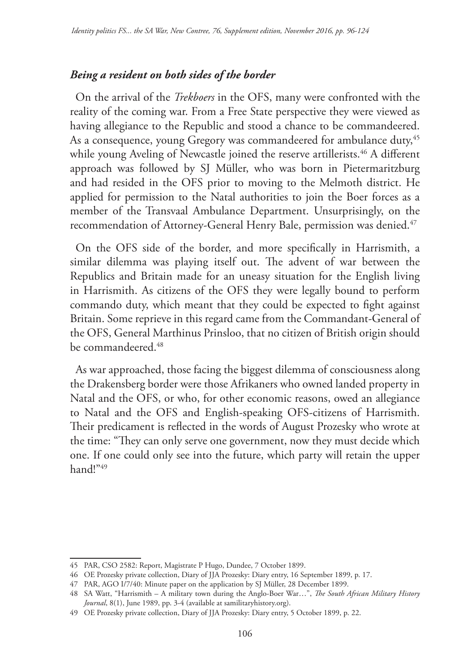### *Being a resident on both sides of the border*

On the arrival of the *Trekboers* in the OFS, many were confronted with the reality of the coming war. From a Free State perspective they were viewed as having allegiance to the Republic and stood a chance to be commandeered. As a consequence, young Gregory was commandeered for ambulance duty,<sup>45</sup> while young Aveling of Newcastle joined the reserve artillerists.<sup>46</sup> A different approach was followed by SJ Müller, who was born in Pietermaritzburg and had resided in the OFS prior to moving to the Melmoth district. He applied for permission to the Natal authorities to join the Boer forces as a member of the Transvaal Ambulance Department. Unsurprisingly, on the recommendation of Attorney-General Henry Bale, permission was denied.<sup>47</sup>

On the OFS side of the border, and more specifically in Harrismith, a similar dilemma was playing itself out. The advent of war between the Republics and Britain made for an uneasy situation for the English living in Harrismith. As citizens of the OFS they were legally bound to perform commando duty, which meant that they could be expected to fight against Britain. Some reprieve in this regard came from the Commandant-General of the OFS, General Marthinus Prinsloo, that no citizen of British origin should be commandeered.<sup>48</sup>

As war approached, those facing the biggest dilemma of consciousness along the Drakensberg border were those Afrikaners who owned landed property in Natal and the OFS, or who, for other economic reasons, owed an allegiance to Natal and the OFS and English-speaking OFS-citizens of Harrismith. Their predicament is reflected in the words of August Prozesky who wrote at the time: "They can only serve one government, now they must decide which one. If one could only see into the future, which party will retain the upper hand!"49

<sup>45</sup> PAR, CSO 2582: Report, Magistrate P Hugo, Dundee, 7 October 1899.

<sup>46</sup> OE Prozesky private collection, Diary of JJA Prozesky: Diary entry, 16 September 1899, p. 17.

<sup>47</sup> PAR, AGO I/7/40: Minute paper on the application by SJ Müller, 28 December 1899.

<sup>48</sup> SA Watt, "Harrismith – A military town during the Anglo-Boer War…", *The South African Military History Journal*, 8(1), June 1989, pp. 3-4 (available at samilitaryhistory.org).

<sup>49</sup> OE Prozesky private collection, Diary of JJA Prozesky: Diary entry, 5 October 1899, p. 22.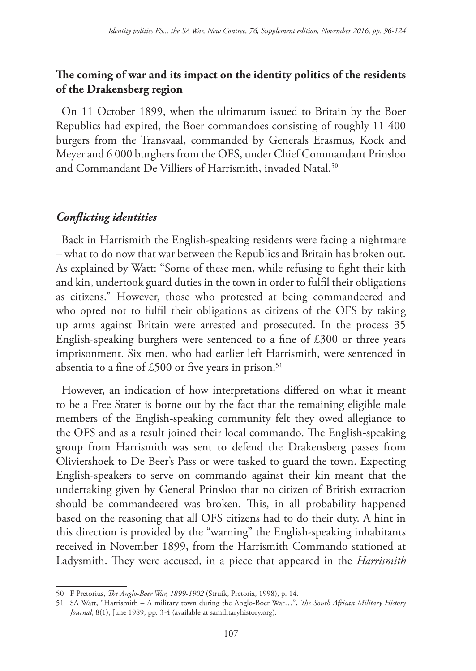# **The coming of war and its impact on the identity politics of the residents of the Drakensberg region**

On 11 October 1899, when the ultimatum issued to Britain by the Boer Republics had expired, the Boer commandoes consisting of roughly 11 400 burgers from the Transvaal, commanded by Generals Erasmus, Kock and Meyer and 6 000 burghers from the OFS, under Chief Commandant Prinsloo and Commandant De Villiers of Harrismith, invaded Natal.<sup>50</sup>

### *Conflicting identities*

Back in Harrismith the English-speaking residents were facing a nightmare – what to do now that war between the Republics and Britain has broken out. As explained by Watt: "Some of these men, while refusing to fight their kith and kin, undertook guard duties in the town in order to fulfil their obligations as citizens." However, those who protested at being commandeered and who opted not to fulfil their obligations as citizens of the OFS by taking up arms against Britain were arrested and prosecuted. In the process 35 English-speaking burghers were sentenced to a fine of £300 or three years imprisonment. Six men, who had earlier left Harrismith, were sentenced in absentia to a fine of £500 or five years in prison.<sup>51</sup>

However, an indication of how interpretations differed on what it meant to be a Free Stater is borne out by the fact that the remaining eligible male members of the English-speaking community felt they owed allegiance to the OFS and as a result joined their local commando. The English-speaking group from Harrismith was sent to defend the Drakensberg passes from Oliviershoek to De Beer's Pass or were tasked to guard the town. Expecting English-speakers to serve on commando against their kin meant that the undertaking given by General Prinsloo that no citizen of British extraction should be commandeered was broken. This, in all probability happened based on the reasoning that all OFS citizens had to do their duty. A hint in this direction is provided by the "warning" the English-speaking inhabitants received in November 1899, from the Harrismith Commando stationed at Ladysmith. They were accused, in a piece that appeared in the *Harrismith* 

<sup>50</sup> F Pretorius, *The Anglo-Boer War, 1899-1902* (Struik, Pretoria, 1998), p. 14.

<sup>51</sup> SA Watt, "Harrismith – A military town during the Anglo-Boer War…", *The South African Military History Journal*, 8(1), June 1989, pp. 3-4 (available at samilitaryhistory.org).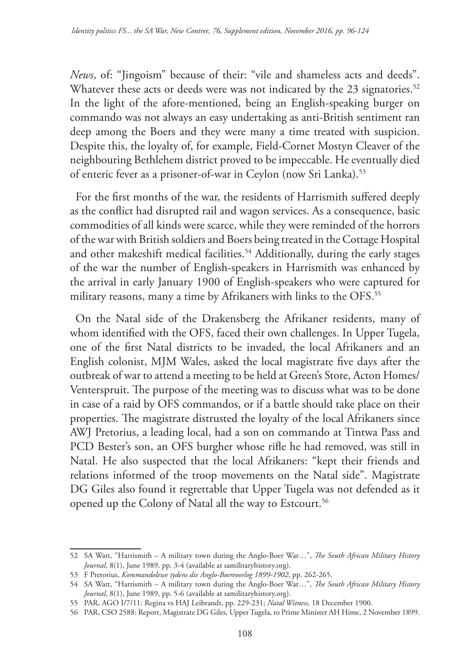*News*, of: "Jingoism" because of their: "vile and shameless acts and deeds". Whatever these acts or deeds were was not indicated by the 23 signatories.<sup>52</sup> In the light of the afore-mentioned, being an English-speaking burger on commando was not always an easy undertaking as anti-British sentiment ran deep among the Boers and they were many a time treated with suspicion. Despite this, the loyalty of, for example, Field-Cornet Mostyn Cleaver of the neighbouring Bethlehem district proved to be impeccable. He eventually died of enteric fever as a prisoner-of-war in Ceylon (now Sri Lanka).<sup>53</sup>

For the first months of the war, the residents of Harrismith suffered deeply as the conflict had disrupted rail and wagon services. As a consequence, basic commodities of all kinds were scarce, while they were reminded of the horrors of the war with British soldiers and Boers being treated in the Cottage Hospital and other makeshift medical facilities.<sup>54</sup> Additionally, during the early stages of the war the number of English-speakers in Harrismith was enhanced by the arrival in early January 1900 of English-speakers who were captured for military reasons, many a time by Afrikaners with links to the OFS.<sup>55</sup>

On the Natal side of the Drakensberg the Afrikaner residents, many of whom identified with the OFS, faced their own challenges. In Upper Tugela, one of the first Natal districts to be invaded, the local Afrikaners and an English colonist, MJM Wales, asked the local magistrate five days after the outbreak of war to attend a meeting to be held at Green's Store, Acton Homes/ Venterspruit. The purpose of the meeting was to discuss what was to be done in case of a raid by OFS commandos, or if a battle should take place on their properties. The magistrate distrusted the loyalty of the local Afrikaners since AWJ Pretorius, a leading local, had a son on commando at Tintwa Pass and PCD Bester's son, an OFS burgher whose rifle he had removed, was still in Natal. He also suspected that the local Afrikaners: "kept their friends and relations informed of the troop movements on the Natal side". Magistrate DG Giles also found it regrettable that Upper Tugela was not defended as it opened up the Colony of Natal all the way to Estcourt.<sup>56</sup>

<sup>52</sup> SA Watt, "Harrismith – A military town during the Anglo-Boer War…", *The South African Military History Journal*, 8(1), June 1989, pp. 3-4 (available at samilitaryhistory.org).

<sup>53</sup> F Pretorius, *Kommandolewe tydens die Anglo-Boereoorlog 1899-1902*, pp. 262-265.

<sup>54</sup> SA Watt, "Harrismith – A military town during the Anglo-Boer War…", *The South African Military History Journal*, 8(1), June 1989, pp. 5-6 (available at samilitaryhistory.org).

<sup>55</sup> PAR, AGO I/7/11: Regina vs HAJ Leibrandt, pp. 229-231; *Natal Witness,* 18 December 1900.

<sup>56</sup> PAR, CSO 2588: Report, Magistrate DG Giles, Upper Tugela, to Prime Minister AH Hime, 2 November 1899.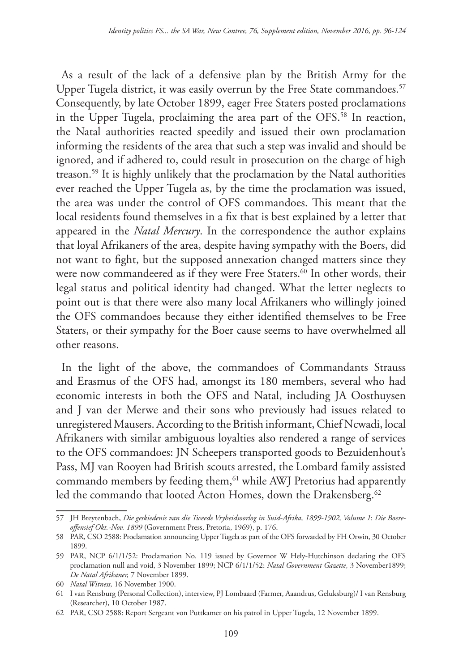As a result of the lack of a defensive plan by the British Army for the Upper Tugela district, it was easily overrun by the Free State commandoes.<sup>57</sup> Consequently, by late October 1899, eager Free Staters posted proclamations in the Upper Tugela, proclaiming the area part of the OFS.58 In reaction, the Natal authorities reacted speedily and issued their own proclamation informing the residents of the area that such a step was invalid and should be ignored, and if adhered to, could result in prosecution on the charge of high treason.59 It is highly unlikely that the proclamation by the Natal authorities ever reached the Upper Tugela as, by the time the proclamation was issued, the area was under the control of OFS commandoes. This meant that the local residents found themselves in a fix that is best explained by a letter that appeared in the *Natal Mercury*. In the correspondence the author explains that loyal Afrikaners of the area, despite having sympathy with the Boers, did not want to fight, but the supposed annexation changed matters since they were now commandeered as if they were Free Staters.<sup>60</sup> In other words, their legal status and political identity had changed. What the letter neglects to point out is that there were also many local Afrikaners who willingly joined the OFS commandoes because they either identified themselves to be Free Staters, or their sympathy for the Boer cause seems to have overwhelmed all other reasons.

In the light of the above, the commandoes of Commandants Strauss and Erasmus of the OFS had, amongst its 180 members, several who had economic interests in both the OFS and Natal, including JA Oosthuysen and J van der Merwe and their sons who previously had issues related to unregistered Mausers. According to the British informant, Chief Ncwadi, local Afrikaners with similar ambiguous loyalties also rendered a range of services to the OFS commandoes: JN Scheepers transported goods to Bezuidenhout's Pass, MJ van Rooyen had British scouts arrested, the Lombard family assisted commando members by feeding them,<sup>61</sup> while AWJ Pretorius had apparently led the commando that looted Acton Homes, down the Drakensberg.<sup>62</sup>

<sup>57</sup> JH Breytenbach, *Die geskiedenis van die Tweede Vryheidsoorlog in Suid-Afrika, 1899-1902, Volume 1*: *Die Boereoffensief Okt.-Nov. 1899* (Government Press, Pretoria, 1969), p. 176.

<sup>58</sup> PAR, CSO 2588: Proclamation announcing Upper Tugela as part of the OFS forwarded by FH Orwin, 30 October 1899.

<sup>59</sup> PAR, NCP 6/1/1/52: Proclamation No. 119 issued by Governor W Hely-Hutchinson declaring the OFS proclamation null and void, 3 November 1899; NCP 6/1/1/52: *Natal Government Gazette,* 3 November1899; *De Natal Afrikaner,* 7 November 1899.

<sup>60</sup> *Natal Witness,* 16 November 1900.

<sup>61</sup> I van Rensburg (Personal Collection), interview, PJ Lombaard (Farmer, Aaandrus, Geluksburg)/ I van Rensburg (Researcher), 10 October 1987.

<sup>62</sup> PAR, CSO 2588: Report Sergeant von Puttkamer on his patrol in Upper Tugela, 12 November 1899.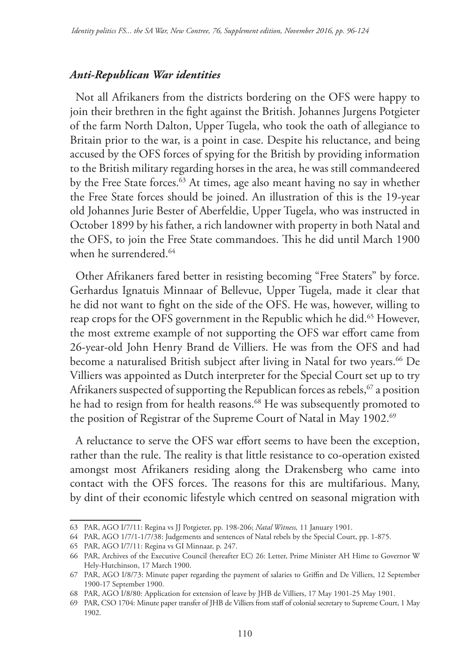### *Anti-Republican War identities*

Not all Afrikaners from the districts bordering on the OFS were happy to join their brethren in the fight against the British. Johannes Jurgens Potgieter of the farm North Dalton, Upper Tugela, who took the oath of allegiance to Britain prior to the war, is a point in case. Despite his reluctance, and being accused by the OFS forces of spying for the British by providing information to the British military regarding horses in the area, he was still commandeered by the Free State forces.<sup>63</sup> At times, age also meant having no say in whether the Free State forces should be joined. An illustration of this is the 19-year old Johannes Jurie Bester of Aberfeldie, Upper Tugela, who was instructed in October 1899 by his father, a rich landowner with property in both Natal and the OFS, to join the Free State commandoes. This he did until March 1900 when he surrendered.<sup>64</sup>

Other Afrikaners fared better in resisting becoming "Free Staters" by force. Gerhardus Ignatuis Minnaar of Bellevue, Upper Tugela, made it clear that he did not want to fight on the side of the OFS. He was, however, willing to reap crops for the OFS government in the Republic which he did.<sup>65</sup> However, the most extreme example of not supporting the OFS war effort came from 26-year-old John Henry Brand de Villiers. He was from the OFS and had become a naturalised British subject after living in Natal for two years.<sup>66</sup> De Villiers was appointed as Dutch interpreter for the Special Court set up to try Afrikaners suspected of supporting the Republican forces as rebels,  $67$  a position he had to resign from for health reasons.<sup>68</sup> He was subsequently promoted to the position of Registrar of the Supreme Court of Natal in May 1902.<sup>69</sup>

A reluctance to serve the OFS war effort seems to have been the exception, rather than the rule. The reality is that little resistance to co-operation existed amongst most Afrikaners residing along the Drakensberg who came into contact with the OFS forces. The reasons for this are multifarious. Many, by dint of their economic lifestyle which centred on seasonal migration with

<sup>63</sup> PAR, AGO I/7/11: Regina vs JJ Potgieter, pp. 198-206; *Natal Witness,* 11 January 1901.

<sup>64</sup> PAR, AGO 1/7/1-1/7/38: Judgements and sentences of Natal rebels by the Special Court, pp. 1-875.

<sup>65</sup> PAR, AGO I/7/11: Regina vs GI Minnaar, p. 247.

<sup>66</sup> PAR, Archives of the Executive Council (hereafter EC) 26: Letter, Prime Minister AH Hime to Governor W Hely-Hutchinson, 17 March 1900.

<sup>67</sup> PAR, AGO I/8/73: Minute paper regarding the payment of salaries to Griffin and De Villiers, 12 September 1900-17 September 1900.

<sup>68</sup> PAR, AGO I/8/80: Application for extension of leave by JHB de Villiers, 17 May 1901-25 May 1901.

<sup>69</sup> PAR, CSO 1704: Minute paper transfer of JHB de Villiers from staff of colonial secretary to Supreme Court, 1 May 1902.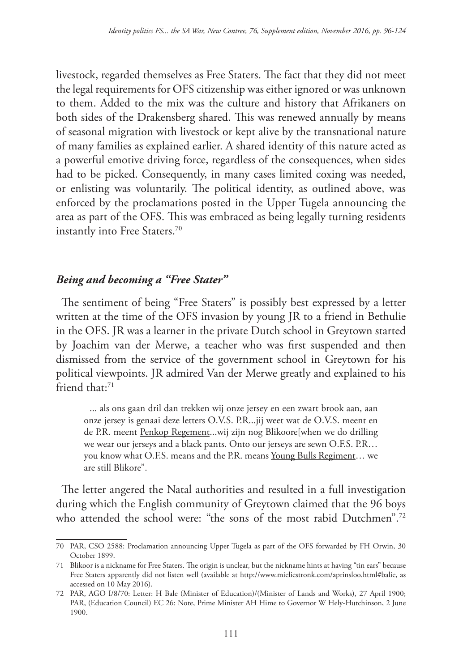livestock, regarded themselves as Free Staters. The fact that they did not meet the legal requirements for OFS citizenship was either ignored or was unknown to them. Added to the mix was the culture and history that Afrikaners on both sides of the Drakensberg shared. This was renewed annually by means of seasonal migration with livestock or kept alive by the transnational nature of many families as explained earlier. A shared identity of this nature acted as a powerful emotive driving force, regardless of the consequences, when sides had to be picked. Consequently, in many cases limited coxing was needed, or enlisting was voluntarily. The political identity, as outlined above, was enforced by the proclamations posted in the Upper Tugela announcing the area as part of the OFS. This was embraced as being legally turning residents instantly into Free Staters.<sup>70</sup>

# *Being and becoming a "Free Stater"*

The sentiment of being "Free Staters" is possibly best expressed by a letter written at the time of the OFS invasion by young JR to a friend in Bethulie in the OFS. JR was a learner in the private Dutch school in Greytown started by Joachim van der Merwe, a teacher who was first suspended and then dismissed from the service of the government school in Greytown for his political viewpoints. JR admired Van der Merwe greatly and explained to his friend that:<sup>71</sup>

... als ons gaan dril dan trekken wij onze jersey en een zwart brook aan, aan onze jersey is genaai deze letters O.V.S. P.R...jij weet wat de O.V.S. meent en de P.R. meent Penkop Regement...wij zijn nog Blikoore[when we do drilling we wear our jerseys and a black pants. Onto our jerseys are sewn O.F.S. P.R… you know what O.F.S. means and the P.R. means Young Bulls Regiment... we are still Blikore".

The letter angered the Natal authorities and resulted in a full investigation during which the English community of Greytown claimed that the 96 boys who attended the school were: "the sons of the most rabid Dutchmen".<sup>72</sup>

<sup>70</sup> PAR, CSO 2588: Proclamation announcing Upper Tugela as part of the OFS forwarded by FH Orwin, 30 October 1899.

<sup>71</sup> Blikoor is a nickname for Free Staters. The origin is unclear, but the nickname hints at having "tin ears" because Free Staters apparently did not listen well (available at http://www.mieliestronk.com/aprinsloo.html#balie, as accessed on 10 May 2016).

<sup>72</sup> PAR, AGO I/8/70: Letter: H Bale (Minister of Education)/(Minister of Lands and Works), 27 April 1900; PAR, (Education Council) EC 26: Note, Prime Minister AH Hime to Governor W Hely-Hutchinson, 2 June 1900.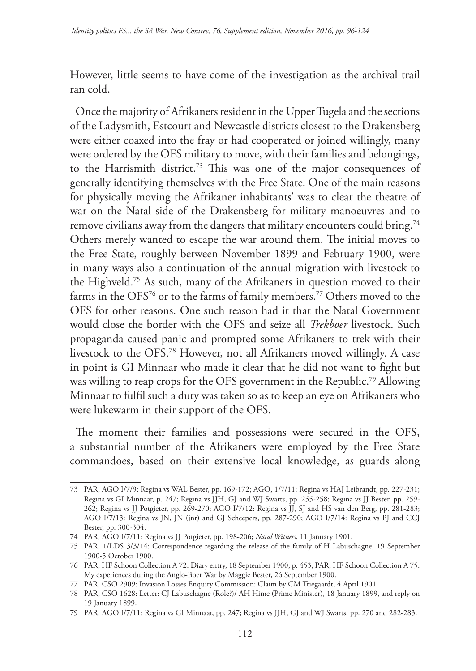However, little seems to have come of the investigation as the archival trail ran cold.

Once the majority of Afrikaners resident in the Upper Tugela and the sections of the Ladysmith, Estcourt and Newcastle districts closest to the Drakensberg were either coaxed into the fray or had cooperated or joined willingly, many were ordered by the OFS military to move, with their families and belongings, to the Harrismith district.73 This was one of the major consequences of generally identifying themselves with the Free State. One of the main reasons for physically moving the Afrikaner inhabitants' was to clear the theatre of war on the Natal side of the Drakensberg for military manoeuvres and to remove civilians away from the dangers that military encounters could bring.<sup>74</sup> Others merely wanted to escape the war around them. The initial moves to the Free State, roughly between November 1899 and February 1900, were in many ways also a continuation of the annual migration with livestock to the Highveld.75 As such, many of the Afrikaners in question moved to their farms in the OFS<sup>76</sup> or to the farms of family members.<sup>77</sup> Others moved to the OFS for other reasons. One such reason had it that the Natal Government would close the border with the OFS and seize all *Trekboer* livestock. Such propaganda caused panic and prompted some Afrikaners to trek with their livestock to the OFS.78 However, not all Afrikaners moved willingly. A case in point is GI Minnaar who made it clear that he did not want to fight but was willing to reap crops for the OFS government in the Republic.<sup>79</sup> Allowing Minnaar to fulfil such a duty was taken so as to keep an eye on Afrikaners who were lukewarm in their support of the OFS.

The moment their families and possessions were secured in the OFS, a substantial number of the Afrikaners were employed by the Free State commandoes, based on their extensive local knowledge, as guards along

<sup>73</sup> PAR, AGO I/7/9: Regina vs WAL Bester, pp. 169-172; AGO, 1/7/11: Regina vs HAJ Leibrandt, pp. 227-231; Regina vs GI Minnaar, p. 247; Regina vs JJH, GJ and WJ Swarts, pp. 255-258; Regina vs JJ Bester, pp. 259- 262; Regina vs JJ Potgieter, pp. 269-270; AGO I/7/12: Regina vs JJ, SJ and HS van den Berg, pp. 281-283; AGO I/7/13: Regina vs JN, JN (jnr) and GJ Scheepers, pp. 287-290; AGO I/7/14: Regina vs PJ and CCJ Bester, pp. 300-304.

<sup>74</sup> PAR, AGO I/7/11: Regina vs JJ Potgieter, pp. 198-206; *Natal Witness,* 11 January 1901.

<sup>75</sup> PAR, 1/LDS 3/3/14: Correspondence regarding the release of the family of H Labuschagne, 19 September 1900-5 October 1900.

<sup>76</sup> PAR, HF Schoon Collection A 72: Diary entry, 18 September 1900, p. 453; PAR, HF Schoon Collection A 75: My experiences during the Anglo-Boer War by Maggie Bester, 26 September 1900.

<sup>77</sup> PAR, CSO 2909: Invasion Losses Enquiry Commission: Claim by CM Triegaardt, 4 April 1901.

<sup>78</sup> PAR, CSO 1628: Letter: CJ Labuschagne (Role?)/ AH Hime (Prime Minister), 18 January 1899, and reply on 19 January 1899.

<sup>79</sup> PAR, AGO I/7/11: Regina vs GI Minnaar, pp. 247; Regina vs JJH, GJ and WJ Swarts, pp. 270 and 282-283.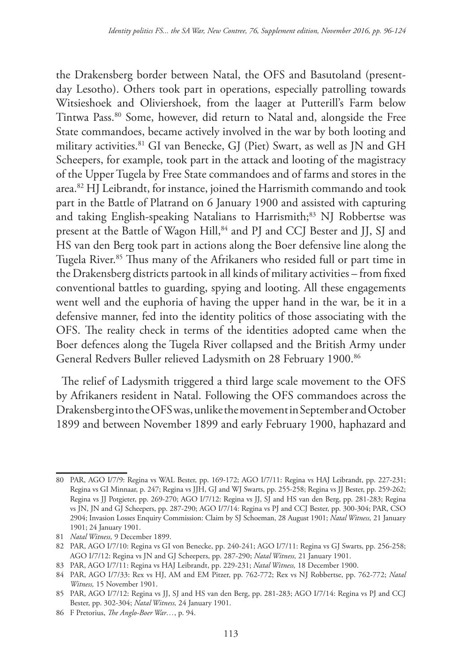the Drakensberg border between Natal, the OFS and Basutoland (presentday Lesotho). Others took part in operations, especially patrolling towards Witsieshoek and Oliviershoek, from the laager at Putterill's Farm below Tintwa Pass.80 Some, however, did return to Natal and, alongside the Free State commandoes, became actively involved in the war by both looting and military activities.81 GI van Benecke, GJ (Piet) Swart, as well as JN and GH Scheepers, for example, took part in the attack and looting of the magistracy of the Upper Tugela by Free State commandoes and of farms and stores in the area.82 HJ Leibrandt, for instance, joined the Harrismith commando and took part in the Battle of Platrand on 6 January 1900 and assisted with capturing and taking English-speaking Natalians to Harrismith;<sup>83</sup> NJ Robbertse was present at the Battle of Wagon Hill,<sup>84</sup> and PJ and CCJ Bester and JJ, SJ and HS van den Berg took part in actions along the Boer defensive line along the Tugela River.85 Thus many of the Afrikaners who resided full or part time in the Drakensberg districts partook in all kinds of military activities – from fixed conventional battles to guarding, spying and looting. All these engagements went well and the euphoria of having the upper hand in the war, be it in a defensive manner, fed into the identity politics of those associating with the OFS. The reality check in terms of the identities adopted came when the Boer defences along the Tugela River collapsed and the British Army under General Redvers Buller relieved Ladysmith on 28 February 1900.86

The relief of Ladysmith triggered a third large scale movement to the OFS by Afrikaners resident in Natal. Following the OFS commandoes across the Drakensberg into the OFS was, unlike the movement in September and October 1899 and between November 1899 and early February 1900, haphazard and

<sup>80</sup> PAR, AGO I/7/9: Regina vs WAL Bester, pp. 169-172; AGO I/7/11: Regina vs HAJ Leibrandt, pp. 227-231; Regina vs GI Minnaar, p. 247; Regina vs JJH, GJ and WJ Swarts, pp. 255-258; Regina vs JJ Bester, pp. 259-262; Regina vs JJ Potgieter, pp. 269-270; AGO I/7/12: Regina vs JJ, SJ and HS van den Berg, pp. 281-283; Regina vs JN, JN and GJ Scheepers, pp. 287-290; AGO I/7/14: Regina vs PJ and CCJ Bester, pp. 300-304; PAR, CSO 2904; Invasion Losses Enquiry Commission: Claim by SJ Schoeman, 28 August 1901; *Natal Witness,* 21 January 1901; 24 January 1901.

<sup>81</sup> *Natal Witness,* 9 December 1899.

<sup>82</sup> PAR, AGO I/7/10: Regina vs GI von Benecke, pp. 240-241; AGO I/7/11: Regina vs GJ Swarts, pp. 256-258; AGO I/7/12: Regina vs JN and GJ Scheepers, pp. 287-290; *Natal Witness,* 21 January 1901.

<sup>83</sup> PAR, AGO I/7/11: Regina vs HAJ Leibrandt, pp. 229-231; *Natal Witness,* 18 December 1900.

<sup>84</sup> PAR, AGO I/7/33: Rex vs HJ, AM and EM Pitzer, pp. 762-772; Rex vs NJ Robbertse, pp. 762-772; *Natal Witness,* 15 November 1901.

<sup>85</sup> PAR, AGO I/7/12: Regina vs JJ, SJ and HS van den Berg, pp. 281-283; AGO I/7/14: Regina vs PJ and CCJ Bester, pp. 302-304; *Natal Witness,* 24 January 1901.

<sup>86</sup> F Pretorius, *The Anglo-Boer War…*, p. 94.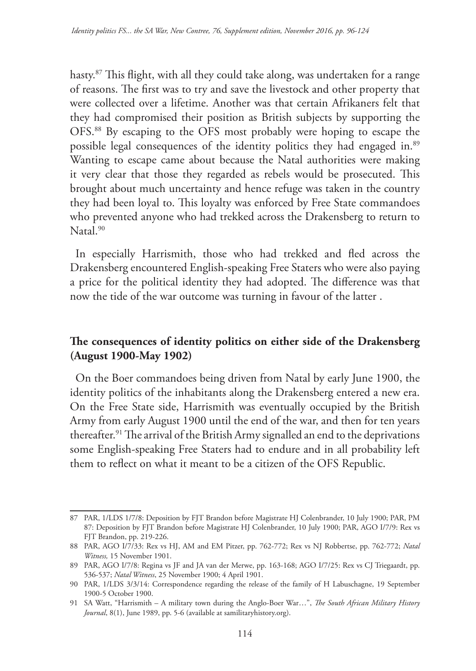hasty.87 This flight, with all they could take along, was undertaken for a range of reasons. The first was to try and save the livestock and other property that were collected over a lifetime. Another was that certain Afrikaners felt that they had compromised their position as British subjects by supporting the OFS.88 By escaping to the OFS most probably were hoping to escape the possible legal consequences of the identity politics they had engaged in.<sup>89</sup> Wanting to escape came about because the Natal authorities were making it very clear that those they regarded as rebels would be prosecuted. This brought about much uncertainty and hence refuge was taken in the country they had been loyal to. This loyalty was enforced by Free State commandoes who prevented anyone who had trekked across the Drakensberg to return to Natal.<sup>90</sup>

In especially Harrismith, those who had trekked and fled across the Drakensberg encountered English-speaking Free Staters who were also paying a price for the political identity they had adopted. The difference was that now the tide of the war outcome was turning in favour of the latter .

# **The consequences of identity politics on either side of the Drakensberg (August 1900-May 1902)**

On the Boer commandoes being driven from Natal by early June 1900, the identity politics of the inhabitants along the Drakensberg entered a new era. On the Free State side, Harrismith was eventually occupied by the British Army from early August 1900 until the end of the war, and then for ten years thereafter.<sup>91</sup> The arrival of the British Army signalled an end to the deprivations some English-speaking Free Staters had to endure and in all probability left them to reflect on what it meant to be a citizen of the OFS Republic.

<sup>87</sup> PAR, 1/LDS 1/7/8: Deposition by FJT Brandon before Magistrate HJ Colenbrander, 10 July 1900; PAR, PM 87: Deposition by FJT Brandon before Magistrate HJ Colenbrander, 10 July 1900; PAR, AGO I/7/9: Rex vs FJT Brandon, pp. 219-226.

<sup>88</sup> PAR, AGO I/7/33: Rex vs HJ, AM and EM Pitzer, pp. 762-772; Rex vs NJ Robbertse, pp. 762-772; *Natal Witness,* 15 November 1901.

<sup>89</sup> PAR, AGO I/7/8: Regina vs JF and JA van der Merwe, pp. 163-168; AGO I/7/25: Rex vs CJ Triegaardt, pp. 536-537; *Natal Witness*, 25 November 1900; 4 April 1901.

<sup>90</sup> PAR, 1/LDS 3/3/14: Correspondence regarding the release of the family of H Labuschagne, 19 September 1900-5 October 1900.

<sup>91</sup> SA Watt, "Harrismith – A military town during the Anglo-Boer War…", *The South African Military History Journal*, 8(1), June 1989, pp. 5-6 (available at samilitaryhistory.org).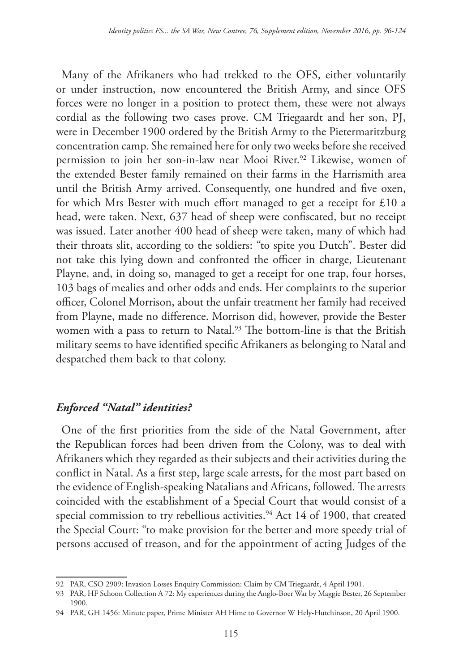Many of the Afrikaners who had trekked to the OFS, either voluntarily or under instruction, now encountered the British Army, and since OFS forces were no longer in a position to protect them, these were not always cordial as the following two cases prove. CM Triegaardt and her son, PJ, were in December 1900 ordered by the British Army to the Pietermaritzburg concentration camp. She remained here for only two weeks before she received permission to join her son-in-law near Mooi River.<sup>92</sup> Likewise, women of the extended Bester family remained on their farms in the Harrismith area until the British Army arrived. Consequently, one hundred and five oxen, for which Mrs Bester with much effort managed to get a receipt for £10 a head, were taken. Next, 637 head of sheep were confiscated, but no receipt was issued. Later another 400 head of sheep were taken, many of which had their throats slit, according to the soldiers: "to spite you Dutch". Bester did not take this lying down and confronted the officer in charge, Lieutenant Playne, and, in doing so, managed to get a receipt for one trap, four horses, 103 bags of mealies and other odds and ends. Her complaints to the superior officer, Colonel Morrison, about the unfair treatment her family had received from Playne, made no difference. Morrison did, however, provide the Bester women with a pass to return to Natal.<sup>93</sup> The bottom-line is that the British military seems to have identified specific Afrikaners as belonging to Natal and despatched them back to that colony.

### *Enforced "Natal" identities?*

One of the first priorities from the side of the Natal Government, after the Republican forces had been driven from the Colony, was to deal with Afrikaners which they regarded as their subjects and their activities during the conflict in Natal. As a first step, large scale arrests, for the most part based on the evidence of English-speaking Natalians and Africans, followed. The arrests coincided with the establishment of a Special Court that would consist of a special commission to try rebellious activities. $94$  Act 14 of 1900, that created the Special Court: "to make provision for the better and more speedy trial of persons accused of treason, and for the appointment of acting Judges of the

<sup>92</sup> PAR, CSO 2909: Invasion Losses Enquiry Commission: Claim by CM Triegaardt, 4 April 1901.

<sup>93</sup> PAR, HF Schoon Collection A 72: My experiences during the Anglo-Boer War by Maggie Bester, 26 September 1900.

<sup>94</sup> PAR, GH 1456: Minute paper, Prime Minister AH Hime to Governor W Hely-Hutchinson, 20 April 1900.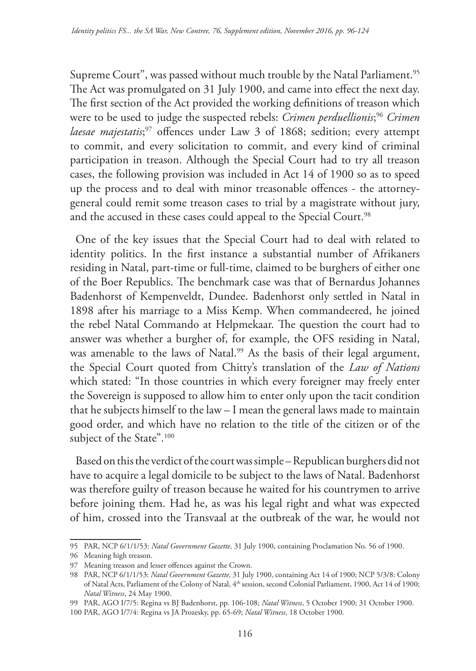Supreme Court", was passed without much trouble by the Natal Parliament.<sup>95</sup> The Act was promulgated on 31 July 1900, and came into effect the next day. The first section of the Act provided the working definitions of treason which were to be used to judge the suspected rebels: *Crimen perduellionis*; <sup>96</sup> *Crimen laesae majestatis*; <sup>97</sup> offences under Law 3 of 1868; sedition; every attempt to commit, and every solicitation to commit, and every kind of criminal participation in treason. Although the Special Court had to try all treason cases, the following provision was included in Act 14 of 1900 so as to speed up the process and to deal with minor treasonable offences - the attorneygeneral could remit some treason cases to trial by a magistrate without jury, and the accused in these cases could appeal to the Special Court.<sup>98</sup>

One of the key issues that the Special Court had to deal with related to identity politics. In the first instance a substantial number of Afrikaners residing in Natal, part-time or full-time, claimed to be burghers of either one of the Boer Republics. The benchmark case was that of Bernardus Johannes Badenhorst of Kempenveldt, Dundee. Badenhorst only settled in Natal in 1898 after his marriage to a Miss Kemp. When commandeered, he joined the rebel Natal Commando at Helpmekaar. The question the court had to answer was whether a burgher of, for example, the OFS residing in Natal, was amenable to the laws of Natal.<sup>99</sup> As the basis of their legal argument, the Special Court quoted from Chitty's translation of the *Law of Nations* which stated: "In those countries in which every foreigner may freely enter the Sovereign is supposed to allow him to enter only upon the tacit condition that he subjects himself to the law – I mean the general laws made to maintain good order, and which have no relation to the title of the citizen or of the subject of the State".<sup>100</sup>

Based on this the verdict of the court was simple – Republican burghers did not have to acquire a legal domicile to be subject to the laws of Natal. Badenhorst was therefore guilty of treason because he waited for his countrymen to arrive before joining them. Had he, as was his legal right and what was expected of him, crossed into the Transvaal at the outbreak of the war, he would not

<sup>95</sup> PAR, NCP 6/1/1/53: *Natal Government Gazette,* 31 July 1900, containing Proclamation No. 56 of 1900.

<sup>96</sup> Meaning high treason.

<sup>97</sup> Meaning treason and lesser offences against the Crown.

<sup>98</sup> PAR, NCP 6/1/1/53: *Natal Government Gazette,* 31 July 1900, containing Act 14 of 1900; NCP 5/3/8: Colony of Natal Acts, Parliament of the Colony of Natal, 4th session, second Colonial Parliament, 1900, Act 14 of 1900; *Natal Witness*, 24 May 1900.

<sup>99</sup> PAR, AGO I/7/5: Regina vs BJ Badenhorst, pp. 106-108; *Natal Witness*, 5 October 1900; 31 October 1900.

<sup>100</sup> PAR, AGO I/7/4: Regina vs JA Prozesky, pp. 65-69; *Natal Witness*, 18 October 1900.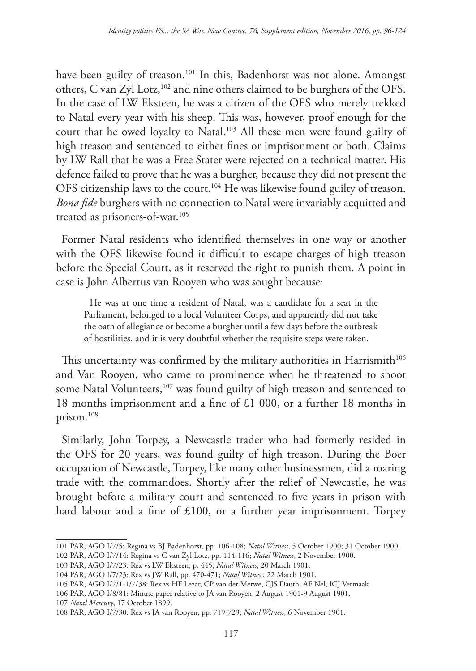have been guilty of treason.<sup>101</sup> In this, Badenhorst was not alone. Amongst others, C van Zyl Lotz,102 and nine others claimed to be burghers of the OFS. In the case of LW Eksteen, he was a citizen of the OFS who merely trekked to Natal every year with his sheep. This was, however, proof enough for the court that he owed loyalty to Natal.103 All these men were found guilty of high treason and sentenced to either fines or imprisonment or both. Claims by LW Rall that he was a Free Stater were rejected on a technical matter. His defence failed to prove that he was a burgher, because they did not present the OFS citizenship laws to the court.<sup>104</sup> He was likewise found guilty of treason. *Bona fide* burghers with no connection to Natal were invariably acquitted and treated as prisoners-of-war.<sup>105</sup>

Former Natal residents who identified themselves in one way or another with the OFS likewise found it difficult to escape charges of high treason before the Special Court, as it reserved the right to punish them. A point in case is John Albertus van Rooyen who was sought because:

He was at one time a resident of Natal, was a candidate for a seat in the Parliament, belonged to a local Volunteer Corps, and apparently did not take the oath of allegiance or become a burgher until a few days before the outbreak of hostilities, and it is very doubtful whether the requisite steps were taken.

This uncertainty was confirmed by the military authorities in Harrismith<sup>106</sup> and Van Rooyen, who came to prominence when he threatened to shoot some Natal Volunteers,<sup>107</sup> was found guilty of high treason and sentenced to 18 months imprisonment and a fine of £1 000, or a further 18 months in prison.108

Similarly, John Torpey, a Newcastle trader who had formerly resided in the OFS for 20 years, was found guilty of high treason. During the Boer occupation of Newcastle, Torpey, like many other businessmen, did a roaring trade with the commandoes. Shortly after the relief of Newcastle, he was brought before a military court and sentenced to five years in prison with hard labour and a fine of £100, or a further year imprisonment. Torpey

107 *Natal Mercury*, 17 October 1899.

<sup>101</sup> PAR, AGO I/7/5: Regina vs BJ Badenhorst, pp. 106-108; *Natal Witness*, 5 October 1900; 31 October 1900. 102 PAR, AGO I/7/14: Regina vs C van Zyl Lotz, pp. 114-116; *Natal Witness*, 2 November 1900.

<sup>103</sup> PAR, AGO I/7/23: Rex vs LW Eksteen, p. 445; *Natal Witness*, 20 March 1901.

<sup>104</sup> PAR, AGO I/7/23: Rex vs JW Rall, pp. 470-471; *Natal Witness*, 22 March 1901.

<sup>105</sup> PAR, AGO I/7/1-1/7/38: Rex vs HF Lezar, CP van der Merwe, CJS Dauth, AF Nel, ICJ Vermaak*.*

<sup>106</sup> PAR, AGO I/8/81: Minute paper relative to JA van Rooyen, 2 August 1901-9 August 1901.

<sup>108</sup> PAR, AGO I/7/30: Rex vs JA van Rooyen, pp. 719-729; *Natal Witness*, 6 November 1901.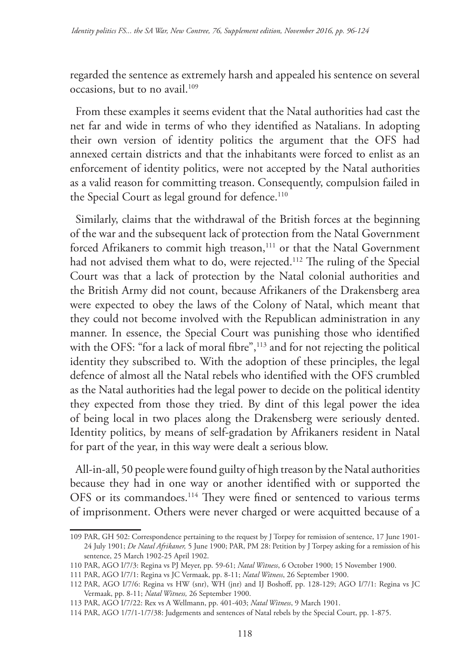regarded the sentence as extremely harsh and appealed his sentence on several occasions, but to no avail.109

From these examples it seems evident that the Natal authorities had cast the net far and wide in terms of who they identified as Natalians. In adopting their own version of identity politics the argument that the OFS had annexed certain districts and that the inhabitants were forced to enlist as an enforcement of identity politics, were not accepted by the Natal authorities as a valid reason for committing treason. Consequently, compulsion failed in the Special Court as legal ground for defence.<sup>110</sup>

Similarly, claims that the withdrawal of the British forces at the beginning of the war and the subsequent lack of protection from the Natal Government forced Afrikaners to commit high treason,<sup>111</sup> or that the Natal Government had not advised them what to do, were rejected.<sup>112</sup> The ruling of the Special Court was that a lack of protection by the Natal colonial authorities and the British Army did not count, because Afrikaners of the Drakensberg area were expected to obey the laws of the Colony of Natal, which meant that they could not become involved with the Republican administration in any manner. In essence, the Special Court was punishing those who identified with the OFS: "for a lack of moral fibre",<sup>113</sup> and for not rejecting the political identity they subscribed to. With the adoption of these principles, the legal defence of almost all the Natal rebels who identified with the OFS crumbled as the Natal authorities had the legal power to decide on the political identity they expected from those they tried. By dint of this legal power the idea of being local in two places along the Drakensberg were seriously dented. Identity politics, by means of self-gradation by Afrikaners resident in Natal for part of the year, in this way were dealt a serious blow.

All-in-all, 50 people were found guilty of high treason by the Natal authorities because they had in one way or another identified with or supported the OFS or its commandoes.114 They were fined or sentenced to various terms of imprisonment. Others were never charged or were acquitted because of a

<sup>109</sup> PAR, GH 502: Correspondence pertaining to the request by J Torpey for remission of sentence, 17 June 1901- 24 July 1901; *De Natal Afrikaner,* 5 June 1900; PAR, PM 28: Petition by J Torpey asking for a remission of his sentence, 25 March 1902-25 April 1902.

<sup>110</sup> PAR, AGO I/7/3: Regina vs PJ Meyer, pp. 59-61; *Natal Witness*, 6 October 1900; 15 November 1900.

<sup>111</sup> PAR, AGO I/7/1: Regina vs JC Vermaak, pp. 8-11; *Natal Witness*, 26 September 1900.

<sup>112</sup> PAR, AGO I/7/6: Regina vs HW (snr), WH (jnr) and IJ Boshoff, pp. 128-129; AGO I/7/1: Regina vs JC Vermaak, pp. 8-11; *Natal Witness,* 26 September 1900.

<sup>113</sup> PAR, AGO I/7/22: Rex vs A Wellmann, pp. 401-403; *Natal Witness*, 9 March 1901.

<sup>114</sup> PAR, AGO 1/7/1-1/7/38: Judgements and sentences of Natal rebels by the Special Court, pp. 1-875.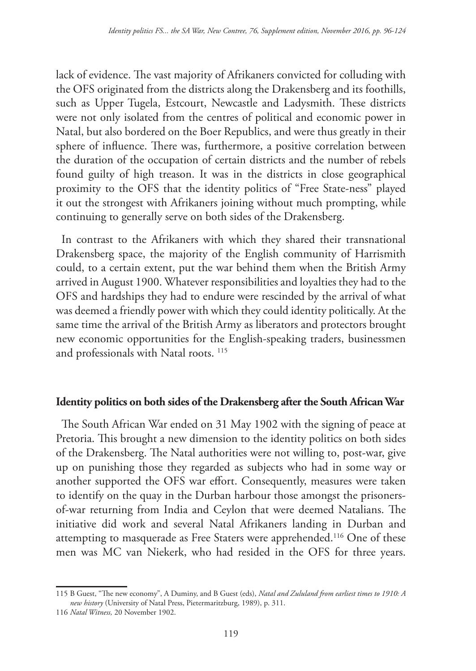lack of evidence. The vast majority of Afrikaners convicted for colluding with the OFS originated from the districts along the Drakensberg and its foothills, such as Upper Tugela, Estcourt, Newcastle and Ladysmith. These districts were not only isolated from the centres of political and economic power in Natal, but also bordered on the Boer Republics, and were thus greatly in their sphere of influence. There was, furthermore, a positive correlation between the duration of the occupation of certain districts and the number of rebels found guilty of high treason. It was in the districts in close geographical proximity to the OFS that the identity politics of "Free State-ness" played it out the strongest with Afrikaners joining without much prompting, while continuing to generally serve on both sides of the Drakensberg.

In contrast to the Afrikaners with which they shared their transnational Drakensberg space, the majority of the English community of Harrismith could, to a certain extent, put the war behind them when the British Army arrived in August 1900. Whatever responsibilities and loyalties they had to the OFS and hardships they had to endure were rescinded by the arrival of what was deemed a friendly power with which they could identity politically. At the same time the arrival of the British Army as liberators and protectors brought new economic opportunities for the English-speaking traders, businessmen and professionals with Natal roots. 115

# **Identity politics on both sides of the Drakensberg after the South African War**

The South African War ended on 31 May 1902 with the signing of peace at Pretoria. This brought a new dimension to the identity politics on both sides of the Drakensberg. The Natal authorities were not willing to, post-war, give up on punishing those they regarded as subjects who had in some way or another supported the OFS war effort. Consequently, measures were taken to identify on the quay in the Durban harbour those amongst the prisonersof-war returning from India and Ceylon that were deemed Natalians. The initiative did work and several Natal Afrikaners landing in Durban and attempting to masquerade as Free Staters were apprehended.116 One of these men was MC van Niekerk, who had resided in the OFS for three years.

<sup>115</sup> B Guest, "The new economy", A Duminy, and B Guest (eds), *Natal and Zululand from earliest times to 1910: A new history* (University of Natal Press, Pietermaritzburg, 1989), p. 311.

<sup>116</sup> *Natal Witness,* 20 November 1902.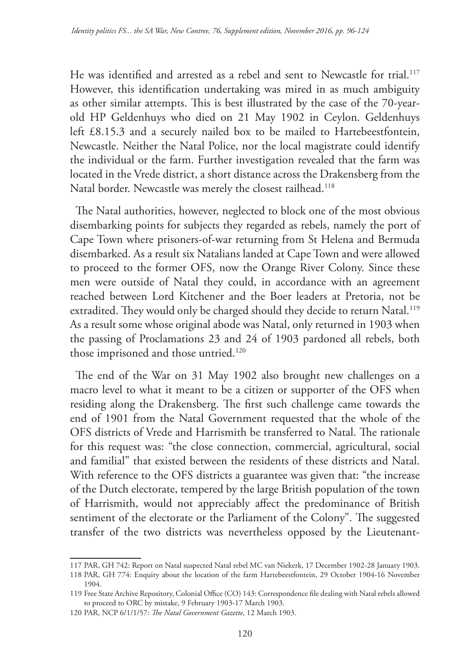He was identified and arrested as a rebel and sent to Newcastle for trial.117 However, this identification undertaking was mired in as much ambiguity as other similar attempts. This is best illustrated by the case of the 70-yearold HP Geldenhuys who died on 21 May 1902 in Ceylon. Geldenhuys left £8.15.3 and a securely nailed box to be mailed to Hartebeestfontein, Newcastle. Neither the Natal Police, nor the local magistrate could identify the individual or the farm. Further investigation revealed that the farm was located in the Vrede district, a short distance across the Drakensberg from the Natal border. Newcastle was merely the closest railhead.<sup>118</sup>

The Natal authorities, however, neglected to block one of the most obvious disembarking points for subjects they regarded as rebels, namely the port of Cape Town where prisoners-of-war returning from St Helena and Bermuda disembarked. As a result six Natalians landed at Cape Town and were allowed to proceed to the former OFS, now the Orange River Colony. Since these men were outside of Natal they could, in accordance with an agreement reached between Lord Kitchener and the Boer leaders at Pretoria, not be extradited. They would only be charged should they decide to return Natal.<sup>119</sup> As a result some whose original abode was Natal, only returned in 1903 when the passing of Proclamations 23 and 24 of 1903 pardoned all rebels, both those imprisoned and those untried.<sup>120</sup>

The end of the War on 31 May 1902 also brought new challenges on a macro level to what it meant to be a citizen or supporter of the OFS when residing along the Drakensberg. The first such challenge came towards the end of 1901 from the Natal Government requested that the whole of the OFS districts of Vrede and Harrismith be transferred to Natal. The rationale for this request was: "the close connection, commercial, agricultural, social and familial" that existed between the residents of these districts and Natal. With reference to the OFS districts a guarantee was given that: "the increase of the Dutch electorate, tempered by the large British population of the town of Harrismith, would not appreciably affect the predominance of British sentiment of the electorate or the Parliament of the Colony". The suggested transfer of the two districts was nevertheless opposed by the Lieutenant-

<sup>117</sup> PAR, GH 742: Report on Natal suspected Natal rebel MC van Niekerk, 17 December 1902-28 January 1903.

<sup>118</sup> PAR, GH 774: Enquiry about the location of the farm Hartebeestfontein, 29 October 1904-16 November 1904.

<sup>119</sup> Free State Archive Repository, Colonial Office (CO) 143: Correspondence file dealing with Natal rebels allowed to proceed to ORC by mistake, 9 February 1903-17 March 1903.

<sup>120</sup> PAR, NCP 6/1/1/57: *The Natal Government Gazette*, 12 March 1903.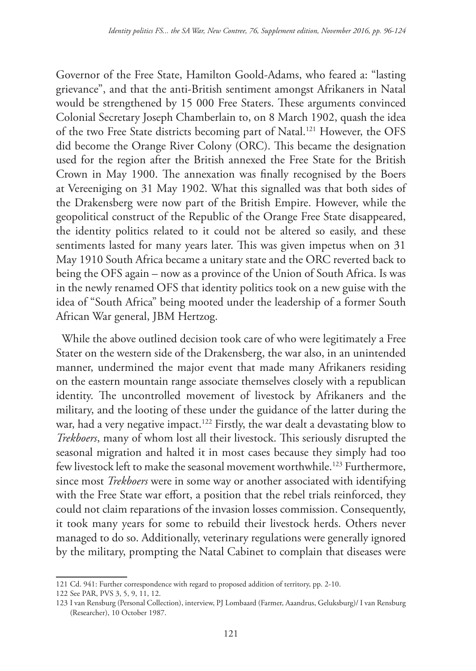Governor of the Free State, Hamilton Goold-Adams, who feared a: "lasting grievance", and that the anti-British sentiment amongst Afrikaners in Natal would be strengthened by 15 000 Free Staters. These arguments convinced Colonial Secretary Joseph Chamberlain to, on 8 March 1902, quash the idea of the two Free State districts becoming part of Natal.121 However, the OFS did become the Orange River Colony (ORC). This became the designation used for the region after the British annexed the Free State for the British Crown in May 1900. The annexation was finally recognised by the Boers at Vereeniging on 31 May 1902. What this signalled was that both sides of the Drakensberg were now part of the British Empire. However, while the geopolitical construct of the Republic of the Orange Free State disappeared, the identity politics related to it could not be altered so easily, and these sentiments lasted for many years later. This was given impetus when on 31 May 1910 South Africa became a unitary state and the ORC reverted back to being the OFS again – now as a province of the Union of South Africa. Is was in the newly renamed OFS that identity politics took on a new guise with the idea of "South Africa" being mooted under the leadership of a former South African War general, JBM Hertzog.

While the above outlined decision took care of who were legitimately a Free Stater on the western side of the Drakensberg, the war also, in an unintended manner, undermined the major event that made many Afrikaners residing on the eastern mountain range associate themselves closely with a republican identity. The uncontrolled movement of livestock by Afrikaners and the military, and the looting of these under the guidance of the latter during the war, had a very negative impact.<sup>122</sup> Firstly, the war dealt a devastating blow to *Trekboers*, many of whom lost all their livestock. This seriously disrupted the seasonal migration and halted it in most cases because they simply had too few livestock left to make the seasonal movement worthwhile.<sup>123</sup> Furthermore, since most *Trekboers* were in some way or another associated with identifying with the Free State war effort, a position that the rebel trials reinforced, they could not claim reparations of the invasion losses commission. Consequently, it took many years for some to rebuild their livestock herds. Others never managed to do so. Additionally, veterinary regulations were generally ignored by the military, prompting the Natal Cabinet to complain that diseases were

<sup>121</sup> Cd. 941: Further correspondence with regard to proposed addition of territory, pp. 2-10.

<sup>122</sup> See PAR, PVS 3, 5, 9, 11, 12.

<sup>123</sup> I van Rensburg (Personal Collection), interview, PJ Lombaard (Farmer, Aaandrus, Geluksburg)/ I van Rensburg (Researcher), 10 October 1987.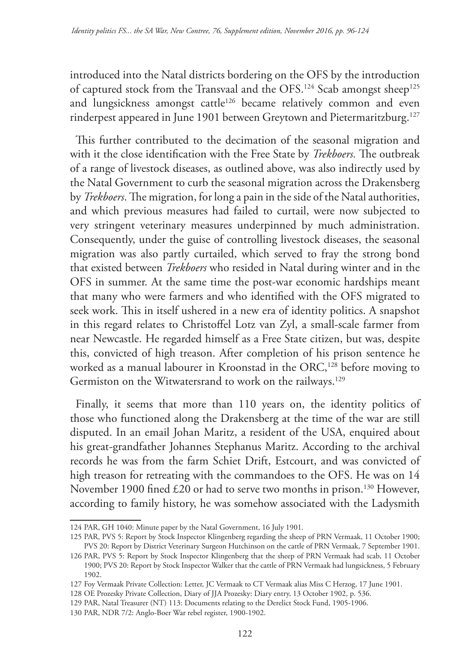introduced into the Natal districts bordering on the OFS by the introduction of captured stock from the Transvaal and the OFS.<sup>124</sup> Scab amongst sheep<sup>125</sup> and lungsickness amongst cattle<sup>126</sup> became relatively common and even rinderpest appeared in June 1901 between Greytown and Pietermaritzburg.<sup>127</sup>

This further contributed to the decimation of the seasonal migration and with it the close identification with the Free State by *Trekboers.* The outbreak of a range of livestock diseases, as outlined above, was also indirectly used by the Natal Government to curb the seasonal migration across the Drakensberg by *Trekboers*. The migration, for long a pain in the side of the Natal authorities, and which previous measures had failed to curtail, were now subjected to very stringent veterinary measures underpinned by much administration. Consequently, under the guise of controlling livestock diseases, the seasonal migration was also partly curtailed, which served to fray the strong bond that existed between *Trekboers* who resided in Natal during winter and in the OFS in summer. At the same time the post-war economic hardships meant that many who were farmers and who identified with the OFS migrated to seek work. This in itself ushered in a new era of identity politics. A snapshot in this regard relates to Christoffel Lotz van Zyl, a small-scale farmer from near Newcastle. He regarded himself as a Free State citizen, but was, despite this, convicted of high treason. After completion of his prison sentence he worked as a manual labourer in Kroonstad in the ORC,<sup>128</sup> before moving to Germiston on the Witwatersrand to work on the railways.<sup>129</sup>

Finally, it seems that more than 110 years on, the identity politics of those who functioned along the Drakensberg at the time of the war are still disputed. In an email Johan Maritz, a resident of the USA, enquired about his great-grandfather Johannes Stephanus Maritz. According to the archival records he was from the farm Schiet Drift, Estcourt, and was convicted of high treason for retreating with the commandoes to the OFS. He was on 14 November 1900 fined £20 or had to serve two months in prison.<sup>130</sup> However, according to family history, he was somehow associated with the Ladysmith

<sup>124</sup> PAR, GH 1040: Minute paper by the Natal Government, 16 July 1901.

<sup>125</sup> PAR, PVS 5: Report by Stock Inspector Klingenberg regarding the sheep of PRN Vermaak, 11 October 1900; PVS 20: Report by District Veterinary Surgeon Hutchinson on the cattle of PRN Vermaak, 7 September 1901.

<sup>126</sup> PAR, PVS 5: Report by Stock Inspector Klingenberg that the sheep of PRN Vermaak had scab, 11 October 1900; PVS 20: Report by Stock Inspector Walker that the cattle of PRN Vermaak had lungsickness, 5 February 1902.

<sup>127</sup> Foy Vermaak Private Collection: Letter, JC Vermaak to CT Vermaak alias Miss C Herzog, 17 June 1901.

<sup>128</sup> OE Prozesky Private Collection, Diary of JJA Prozesky: Diary entry, 13 October 1902, p. 536.

<sup>129</sup> PAR, Natal Treasurer (NT) 113: Documents relating to the Derelict Stock Fund, 1905-1906.

<sup>130</sup> PAR, NDR 7/2: Anglo-Boer War rebel register, 1900-1902.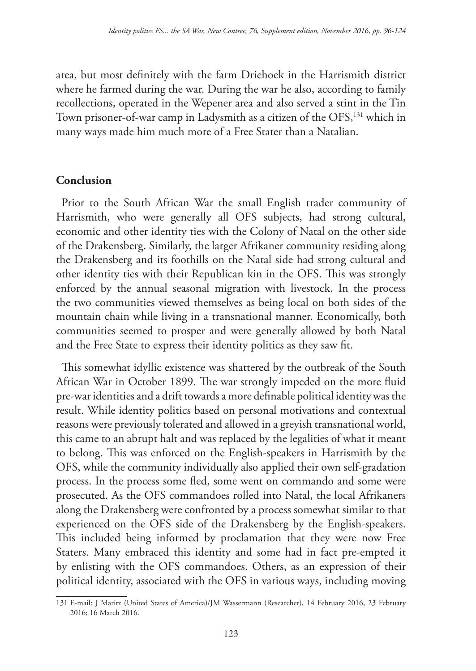area, but most definitely with the farm Driehoek in the Harrismith district where he farmed during the war. During the war he also, according to family recollections, operated in the Wepener area and also served a stint in the Tin Town prisoner-of-war camp in Ladysmith as a citizen of the OFS,<sup>131</sup> which in many ways made him much more of a Free Stater than a Natalian.

### **Conclusion**

Prior to the South African War the small English trader community of Harrismith, who were generally all OFS subjects, had strong cultural, economic and other identity ties with the Colony of Natal on the other side of the Drakensberg. Similarly, the larger Afrikaner community residing along the Drakensberg and its foothills on the Natal side had strong cultural and other identity ties with their Republican kin in the OFS. This was strongly enforced by the annual seasonal migration with livestock. In the process the two communities viewed themselves as being local on both sides of the mountain chain while living in a transnational manner. Economically, both communities seemed to prosper and were generally allowed by both Natal and the Free State to express their identity politics as they saw fit.

This somewhat idyllic existence was shattered by the outbreak of the South African War in October 1899. The war strongly impeded on the more fluid pre-war identities and a drift towards a more definable political identity was the result. While identity politics based on personal motivations and contextual reasons were previously tolerated and allowed in a greyish transnational world, this came to an abrupt halt and was replaced by the legalities of what it meant to belong. This was enforced on the English-speakers in Harrismith by the OFS, while the community individually also applied their own self-gradation process. In the process some fled, some went on commando and some were prosecuted. As the OFS commandoes rolled into Natal, the local Afrikaners along the Drakensberg were confronted by a process somewhat similar to that experienced on the OFS side of the Drakensberg by the English-speakers. This included being informed by proclamation that they were now Free Staters. Many embraced this identity and some had in fact pre-empted it by enlisting with the OFS commandoes. Others, as an expression of their political identity, associated with the OFS in various ways, including moving

<sup>131</sup> E-mail: J Maritz (United States of America)/JM Wassermann (Researcher), 14 February 2016, 23 February 2016; 16 March 2016.